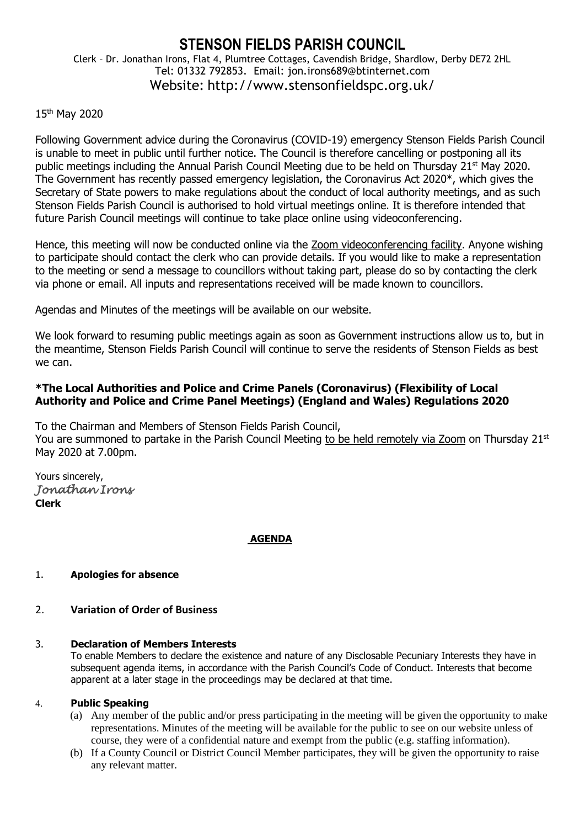## **STENSON FIELDS PARISH COUNCIL** Clerk – Dr. Jonathan Irons, Flat 4, Plumtree Cottages, Cavendish Bridge, Shardlow, Derby DE72 2HL Tel: 01332 792853. Email: jon.irons689@btinternet.com Website: http://www.stensonfieldspc.org.uk/

# 15<sup>th</sup> May 2020

Following Government advice during the Coronavirus (COVID-19) emergency Stenson Fields Parish Council is unable to meet in public until further notice. The Council is therefore cancelling or postponing all its public meetings including the Annual Parish Council Meeting due to be held on Thursday 21<sup>st</sup> May 2020. The Government has recently passed emergency legislation, the Coronavirus Act 2020\*, which gives the Secretary of State powers to make regulations about the conduct of local authority meetings, and as such Stenson Fields Parish Council is authorised to hold virtual meetings online. It is therefore intended that future Parish Council meetings will continue to take place online using videoconferencing.

Hence, this meeting will now be conducted online via the Zoom videoconferencing facility. Anyone wishing to participate should contact the clerk who can provide details. If you would like to make a representation to the meeting or send a message to councillors without taking part, please do so by contacting the clerk via phone or email. All inputs and representations received will be made known to councillors.

Agendas and Minutes of the meetings will be available on our website.

We look forward to resuming public meetings again as soon as Government instructions allow us to, but in the meantime, Stenson Fields Parish Council will continue to serve the residents of Stenson Fields as best we can.

# **\*The Local Authorities and Police and Crime Panels (Coronavirus) (Flexibility of Local Authority and Police and Crime Panel Meetings) (England and Wales) Regulations 2020**

To the Chairman and Members of Stenson Fields Parish Council, You are summoned to partake in the Parish Council Meeting to be held remotely via Zoom on Thursday 21st May 2020 at 7.00pm.

Yours sincerely, *Jonathan Irons*  **Clerk**

## **AGENDA**

## 1. **Apologies for absence**

# 2. **Variation of Order of Business**

#### 3. **Declaration of Members Interests**

To enable Members to declare the existence and nature of any Disclosable Pecuniary Interests they have in subsequent agenda items, in accordance with the Parish Council's Code of Conduct. Interests that become apparent at a later stage in the proceedings may be declared at that time.

#### 4. **Public Speaking**

- (a) Any member of the public and/or press participating in the meeting will be given the opportunity to make representations. Minutes of the meeting will be available for the public to see on our website unless of course, they were of a confidential nature and exempt from the public (e.g. staffing information).
- (b) If a County Council or District Council Member participates, they will be given the opportunity to raise any relevant matter.